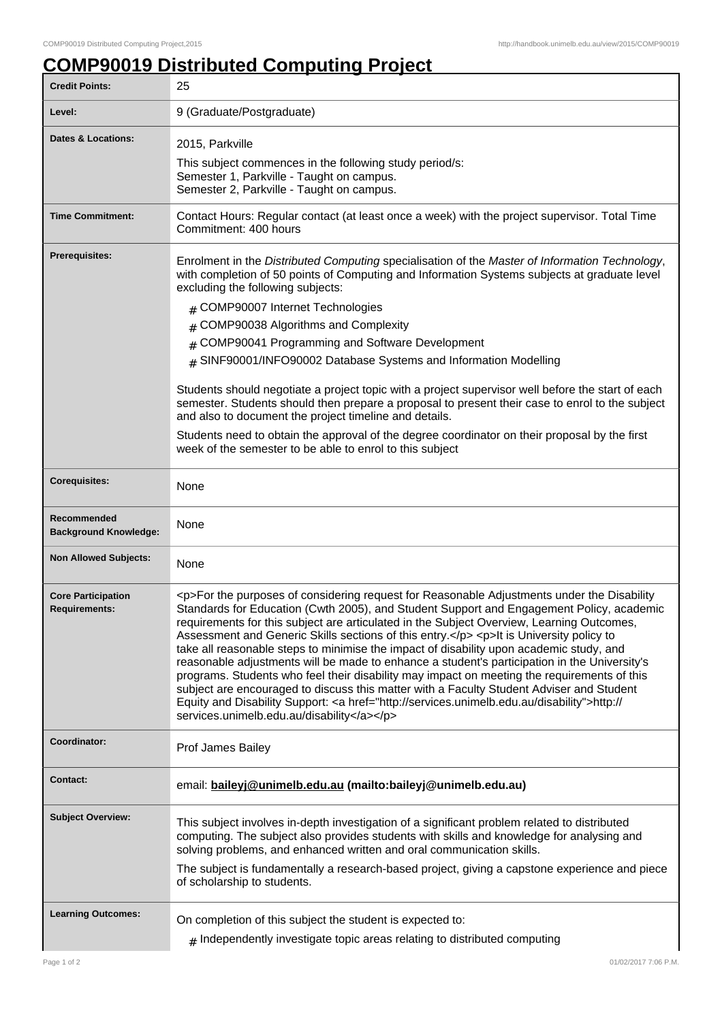## **COMP90019 Distributed Computing Project**

| <b>Credit Points:</b>                             | 25                                                                                                                                                                                                                                                                                                                                                                                                                                                                                                                                                                                                                                                                                                                                                                                                                                                                                                                           |
|---------------------------------------------------|------------------------------------------------------------------------------------------------------------------------------------------------------------------------------------------------------------------------------------------------------------------------------------------------------------------------------------------------------------------------------------------------------------------------------------------------------------------------------------------------------------------------------------------------------------------------------------------------------------------------------------------------------------------------------------------------------------------------------------------------------------------------------------------------------------------------------------------------------------------------------------------------------------------------------|
| Level:                                            | 9 (Graduate/Postgraduate)                                                                                                                                                                                                                                                                                                                                                                                                                                                                                                                                                                                                                                                                                                                                                                                                                                                                                                    |
| Dates & Locations:                                | 2015, Parkville                                                                                                                                                                                                                                                                                                                                                                                                                                                                                                                                                                                                                                                                                                                                                                                                                                                                                                              |
|                                                   | This subject commences in the following study period/s:                                                                                                                                                                                                                                                                                                                                                                                                                                                                                                                                                                                                                                                                                                                                                                                                                                                                      |
|                                                   | Semester 1, Parkville - Taught on campus.<br>Semester 2, Parkville - Taught on campus.                                                                                                                                                                                                                                                                                                                                                                                                                                                                                                                                                                                                                                                                                                                                                                                                                                       |
|                                                   |                                                                                                                                                                                                                                                                                                                                                                                                                                                                                                                                                                                                                                                                                                                                                                                                                                                                                                                              |
| <b>Time Commitment:</b>                           | Contact Hours: Regular contact (at least once a week) with the project supervisor. Total Time<br>Commitment: 400 hours                                                                                                                                                                                                                                                                                                                                                                                                                                                                                                                                                                                                                                                                                                                                                                                                       |
| Prerequisites:                                    | Enrolment in the Distributed Computing specialisation of the Master of Information Technology,<br>with completion of 50 points of Computing and Information Systems subjects at graduate level<br>excluding the following subjects:                                                                                                                                                                                                                                                                                                                                                                                                                                                                                                                                                                                                                                                                                          |
|                                                   | # COMP90007 Internet Technologies                                                                                                                                                                                                                                                                                                                                                                                                                                                                                                                                                                                                                                                                                                                                                                                                                                                                                            |
|                                                   | COMP90038 Algorithms and Complexity                                                                                                                                                                                                                                                                                                                                                                                                                                                                                                                                                                                                                                                                                                                                                                                                                                                                                          |
|                                                   | COMP90041 Programming and Software Development<br>#                                                                                                                                                                                                                                                                                                                                                                                                                                                                                                                                                                                                                                                                                                                                                                                                                                                                          |
|                                                   | # SINF90001/INFO90002 Database Systems and Information Modelling                                                                                                                                                                                                                                                                                                                                                                                                                                                                                                                                                                                                                                                                                                                                                                                                                                                             |
|                                                   | Students should negotiate a project topic with a project supervisor well before the start of each<br>semester. Students should then prepare a proposal to present their case to enrol to the subject<br>and also to document the project timeline and details.                                                                                                                                                                                                                                                                                                                                                                                                                                                                                                                                                                                                                                                               |
|                                                   | Students need to obtain the approval of the degree coordinator on their proposal by the first<br>week of the semester to be able to enrol to this subject                                                                                                                                                                                                                                                                                                                                                                                                                                                                                                                                                                                                                                                                                                                                                                    |
| <b>Corequisites:</b>                              | None                                                                                                                                                                                                                                                                                                                                                                                                                                                                                                                                                                                                                                                                                                                                                                                                                                                                                                                         |
| Recommended<br><b>Background Knowledge:</b>       | None                                                                                                                                                                                                                                                                                                                                                                                                                                                                                                                                                                                                                                                                                                                                                                                                                                                                                                                         |
| <b>Non Allowed Subjects:</b>                      | None                                                                                                                                                                                                                                                                                                                                                                                                                                                                                                                                                                                                                                                                                                                                                                                                                                                                                                                         |
| <b>Core Participation</b><br><b>Requirements:</b> | <p>For the purposes of considering request for Reasonable Adjustments under the Disability<br/>Standards for Education (Cwth 2005), and Student Support and Engagement Policy, academic<br/>requirements for this subject are articulated in the Subject Overview, Learning Outcomes,<br/>Assessment and Generic Skills sections of this entry.</p> <p>It is University policy to<br/>take all reasonable steps to minimise the impact of disability upon academic study, and<br/>reasonable adjustments will be made to enhance a student's participation in the University's<br/>programs. Students who feel their disability may impact on meeting the requirements of this<br/>subject are encouraged to discuss this matter with a Faculty Student Adviser and Student<br/>Equity and Disability Support: &lt; a href="http://services.unimelb.edu.au/disability"&gt;http://<br/>services.unimelb.edu.au/disability</p> |
| Coordinator:                                      | Prof James Bailey                                                                                                                                                                                                                                                                                                                                                                                                                                                                                                                                                                                                                                                                                                                                                                                                                                                                                                            |
| <b>Contact:</b>                                   | email: baileyj@unimelb.edu.au (mailto:baileyj@unimelb.edu.au)                                                                                                                                                                                                                                                                                                                                                                                                                                                                                                                                                                                                                                                                                                                                                                                                                                                                |
| <b>Subject Overview:</b>                          | This subject involves in-depth investigation of a significant problem related to distributed<br>computing. The subject also provides students with skills and knowledge for analysing and<br>solving problems, and enhanced written and oral communication skills.<br>The subject is fundamentally a research-based project, giving a capstone experience and piece                                                                                                                                                                                                                                                                                                                                                                                                                                                                                                                                                          |
|                                                   | of scholarship to students.                                                                                                                                                                                                                                                                                                                                                                                                                                                                                                                                                                                                                                                                                                                                                                                                                                                                                                  |
| <b>Learning Outcomes:</b>                         | On completion of this subject the student is expected to:                                                                                                                                                                                                                                                                                                                                                                                                                                                                                                                                                                                                                                                                                                                                                                                                                                                                    |
|                                                   | $_{\#}$ Independently investigate topic areas relating to distributed computing                                                                                                                                                                                                                                                                                                                                                                                                                                                                                                                                                                                                                                                                                                                                                                                                                                              |